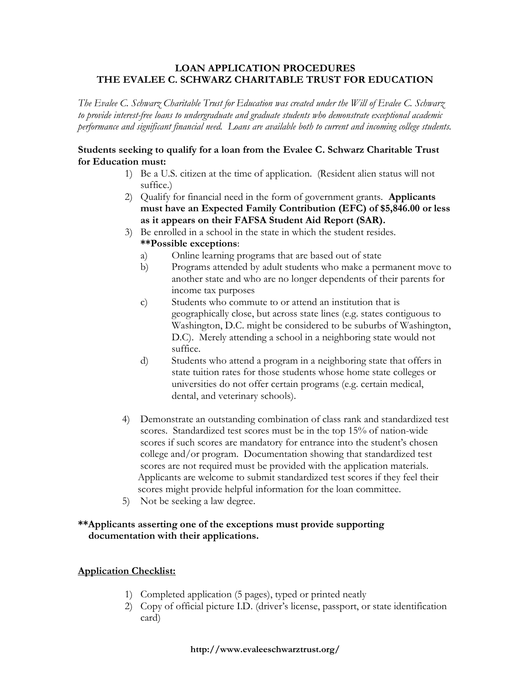#### LOAN APPLICATION PROCEDURES THE EVALEE C. SCHWARZ CHARITABLE TRUST FOR EDUCATION

The Evalee C. Schwarz Charitable Trust for Education was created under the Will of Evalee C. Schwarz to provide interest-free loans to undergraduate and graduate students who demonstrate exceptional academic performance and significant financial need. Loans are available both to current and incoming college students.

#### Students seeking to qualify for a loan from the Evalee C. Schwarz Charitable Trust for Education must:

- 1) Be a U.S. citizen at the time of application. (Resident alien status will not suffice.)
- 2) Qualify for financial need in the form of government grants. Applicants must have an Expected Family Contribution (EFC) of \$5,846.00 or less as it appears on their FAFSA Student Aid Report (SAR).
- 3) Be enrolled in a school in the state in which the student resides. \*\*Possible exceptions:
	- a) Online learning programs that are based out of state
	- b) Programs attended by adult students who make a permanent move to another state and who are no longer dependents of their parents for income tax purposes
	- c) Students who commute to or attend an institution that is geographically close, but across state lines (e.g. states contiguous to Washington, D.C. might be considered to be suburbs of Washington, D.C). Merely attending a school in a neighboring state would not suffice.
	- d) Students who attend a program in a neighboring state that offers in state tuition rates for those students whose home state colleges or universities do not offer certain programs (e.g. certain medical, dental, and veterinary schools).
- 4) Demonstrate an outstanding combination of class rank and standardized test scores. Standardized test scores must be in the top 15% of nation-wide scores if such scores are mandatory for entrance into the student's chosen college and/or program. Documentation showing that standardized test scores are not required must be provided with the application materials. Applicants are welcome to submit standardized test scores if they feel their scores might provide helpful information for the loan committee.
- 5) Not be seeking a law degree.

### \*\*Applicants asserting one of the exceptions must provide supporting documentation with their applications.

#### Application Checklist:

- 1) Completed application (5 pages), typed or printed neatly
- 2) Copy of official picture I.D. (driver's license, passport, or state identification card)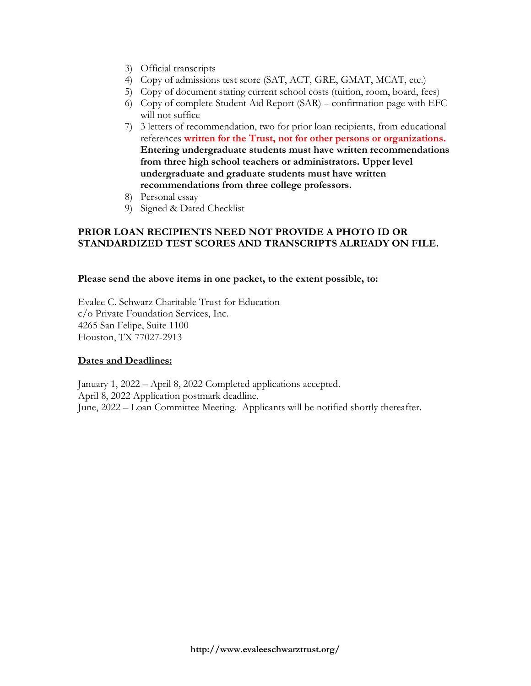- 3) Official transcripts
- 4) Copy of admissions test score (SAT, ACT, GRE, GMAT, MCAT, etc.)
- 5) Copy of document stating current school costs (tuition, room, board, fees)
- 6) Copy of complete Student Aid Report (SAR) confirmation page with EFC will not suffice
- 7) 3 letters of recommendation, two for prior loan recipients, from educational references written for the Trust, not for other persons or organizations. Entering undergraduate students must have written recommendations from three high school teachers or administrators. Upper level undergraduate and graduate students must have written recommendations from three college professors.
- 8) Personal essay
- 9) Signed & Dated Checklist

#### PRIOR LOAN RECIPIENTS NEED NOT PROVIDE A PHOTO ID OR STANDARDIZED TEST SCORES AND TRANSCRIPTS ALREADY ON FILE.

#### Please send the above items in one packet, to the extent possible, to:

Evalee C. Schwarz Charitable Trust for Education c/o Private Foundation Services, Inc. 4265 San Felipe, Suite 1100 Houston, TX 77027-2913

#### Dates and Deadlines:

January 1, 2022 – April 8, 2022 Completed applications accepted. April 8, 2022 Application postmark deadline. June, 2022 – Loan Committee Meeting. Applicants will be notified shortly thereafter.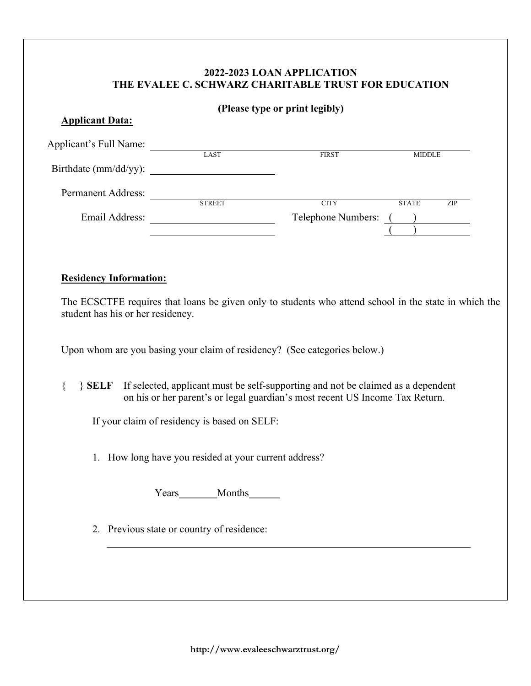# 2022-2023 LOAN APPLICATION THE EVALEE C. SCHWARZ CHARITABLE TRUST FOR EDUCATION

|                                           |                                                                                                                                                                                                                                                    | (Please type or print legibly) |                                              |
|-------------------------------------------|----------------------------------------------------------------------------------------------------------------------------------------------------------------------------------------------------------------------------------------------------|--------------------------------|----------------------------------------------|
| <b>Applicant Data:</b>                    |                                                                                                                                                                                                                                                    |                                |                                              |
|                                           | Applicant's Full Name:                                                                                                                                                                                                                             | <b>FIRST</b>                   | <b>MIDDLE</b>                                |
|                                           | Birthdate (mm/dd/yy):                                                                                                                                                                                                                              |                                |                                              |
|                                           | Permanent Address: STREET                                                                                                                                                                                                                          |                                |                                              |
|                                           |                                                                                                                                                                                                                                                    | <b>CITY</b>                    | <b>STATE</b><br>ZIP<br>Telephone Numbers: () |
|                                           |                                                                                                                                                                                                                                                    |                                |                                              |
| <b>Residency Information:</b>             |                                                                                                                                                                                                                                                    |                                |                                              |
|                                           | The ECSCTFE requires that loans be given only to students who attend school in the state in which the                                                                                                                                              |                                |                                              |
| student has his or her residency.<br>$\{$ | Upon whom are you basing your claim of residency? (See categories below.)<br>SELF If selected, applicant must be self-supporting and not be claimed as a dependent<br>on his or her parent's or legal guardian's most recent US Income Tax Return. |                                |                                              |
|                                           | If your claim of residency is based on SELF:                                                                                                                                                                                                       |                                |                                              |
|                                           | 1. How long have you resided at your current address?                                                                                                                                                                                              |                                |                                              |
|                                           | Years Months                                                                                                                                                                                                                                       |                                |                                              |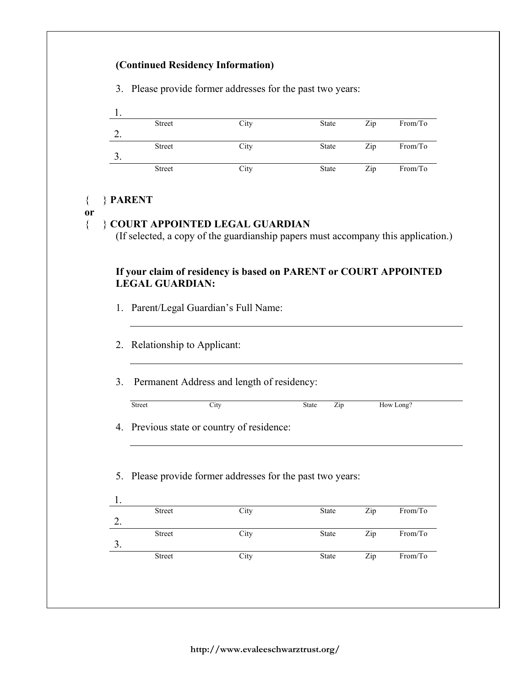| 1. |                               |                                                                  |                |            |                    |
|----|-------------------------------|------------------------------------------------------------------|----------------|------------|--------------------|
| 2. | Street                        | City                                                             | State          | Zip        | From/To            |
| 3. | Street                        | City                                                             | State          | Zip        | From/To            |
|    | Street                        | City                                                             | State          | Zip        | From/To            |
|    | <b>LEGAL GUARDIAN:</b>        | If your claim of residency is based on PARENT or COURT APPOINTED |                |            |                    |
|    | 2. Relationship to Applicant: | 1. Parent/Legal Guardian's Full Name:                            |                |            |                    |
| 3. |                               | Permanent Address and length of residency:                       |                |            |                    |
|    | Street                        | City                                                             | State<br>Zip   |            | How Long?          |
|    |                               | 4. Previous state or country of residence:                       |                |            |                    |
|    |                               | 5. Please provide former addresses for the past two years:       |                |            |                    |
| 1. | Street                        | City                                                             | State          | Zip        | From/To            |
| 2. |                               |                                                                  |                |            |                    |
| 3. | Street<br>Street              | City<br>City                                                     | State<br>State | Zip<br>Zip | From/To<br>From/To |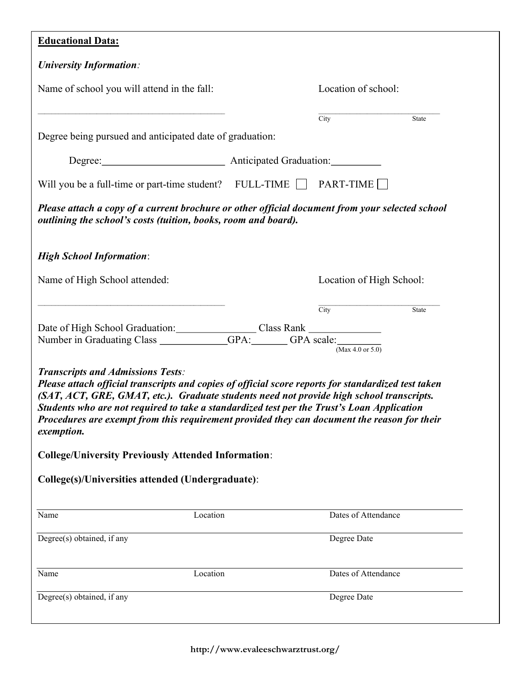| <b>Educational Data:</b> |  |
|--------------------------|--|
|                          |  |

| Name of school you will attend in the fall:                                                                                                                                                                                                                                                                                                                                                                                                                                                                                                                                      | Location of school:      |       |
|----------------------------------------------------------------------------------------------------------------------------------------------------------------------------------------------------------------------------------------------------------------------------------------------------------------------------------------------------------------------------------------------------------------------------------------------------------------------------------------------------------------------------------------------------------------------------------|--------------------------|-------|
|                                                                                                                                                                                                                                                                                                                                                                                                                                                                                                                                                                                  | City                     | State |
| Degree being pursued and anticipated date of graduation:                                                                                                                                                                                                                                                                                                                                                                                                                                                                                                                         |                          |       |
| Degree: Anticipated Graduation:                                                                                                                                                                                                                                                                                                                                                                                                                                                                                                                                                  |                          |       |
| Will you be a full-time or part-time student? FULL-TIME TPART-TIME                                                                                                                                                                                                                                                                                                                                                                                                                                                                                                               |                          |       |
| Please attach a copy of a current brochure or other official document from your selected school<br>outlining the school's costs (tuition, books, room and board).                                                                                                                                                                                                                                                                                                                                                                                                                |                          |       |
| <b>High School Information:</b>                                                                                                                                                                                                                                                                                                                                                                                                                                                                                                                                                  |                          |       |
| Name of High School attended:                                                                                                                                                                                                                                                                                                                                                                                                                                                                                                                                                    | Location of High School: |       |
|                                                                                                                                                                                                                                                                                                                                                                                                                                                                                                                                                                                  | City                     | State |
|                                                                                                                                                                                                                                                                                                                                                                                                                                                                                                                                                                                  |                          |       |
|                                                                                                                                                                                                                                                                                                                                                                                                                                                                                                                                                                                  |                          |       |
| Date of High School Graduation: Class Rank<br>Number in Graduating Class _____________GPA: ______GPA scale: ___________                                                                                                                                                                                                                                                                                                                                                                                                                                                          | (Max 4.0 or $5.0$ )      |       |
| <b>Transcripts and Admissions Tests:</b><br>Please attach official transcripts and copies of official score reports for standardized test taken<br>(SAT, ACT, GRE, GMAT, etc.). Graduate students need not provide high school transcripts.<br>Students who are not required to take a standardized test per the Trust's Loan Application<br>Procedures are exempt from this requirement provided they can document the reason for their<br><i>exemption.</i><br><b>College/University Previously Attended Information:</b><br>College(s)/Universities attended (Undergraduate): |                          |       |
| Name<br>Location                                                                                                                                                                                                                                                                                                                                                                                                                                                                                                                                                                 | Dates of Attendance      |       |
| Degree(s) obtained, if any                                                                                                                                                                                                                                                                                                                                                                                                                                                                                                                                                       | Degree Date              |       |
| Name<br>Location                                                                                                                                                                                                                                                                                                                                                                                                                                                                                                                                                                 | Dates of Attendance      |       |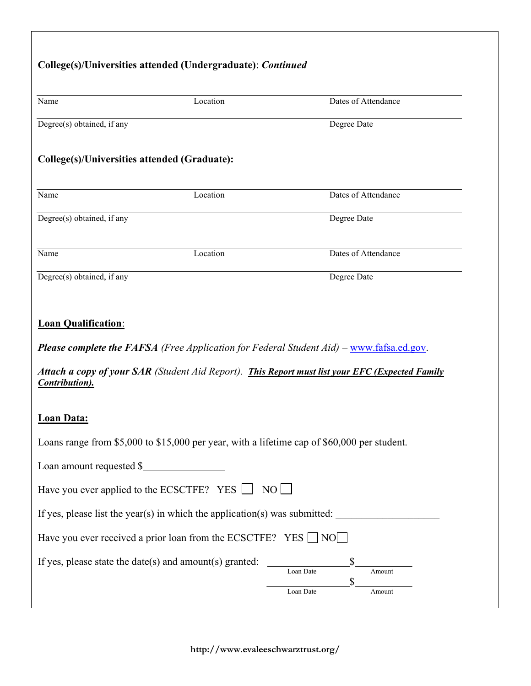| Name                                                    | Location                                                                                    | Dates of Attendance                                                                             |
|---------------------------------------------------------|---------------------------------------------------------------------------------------------|-------------------------------------------------------------------------------------------------|
| Degree(s) obtained, if any                              |                                                                                             | Degree Date                                                                                     |
| College(s)/Universities attended (Graduate):            |                                                                                             |                                                                                                 |
| Name                                                    | Location                                                                                    | Dates of Attendance                                                                             |
| Degree(s) obtained, if any                              |                                                                                             | Degree Date                                                                                     |
| Name                                                    | Location                                                                                    | Dates of Attendance                                                                             |
| Degree(s) obtained, if any                              |                                                                                             | Degree Date                                                                                     |
| <b>Loan Qualification:</b>                              |                                                                                             | <b>Please complete the FAFSA</b> (Free Application for Federal Student Aid) – www.fafsa.ed.gov. |
| Contribution).                                          |                                                                                             | Attach a copy of your SAR (Student Aid Report). This Report must list your EFC (Expected Family |
| <b>Loan Data:</b>                                       |                                                                                             |                                                                                                 |
|                                                         | Loans range from \$5,000 to \$15,000 per year, with a lifetime cap of \$60,000 per student. |                                                                                                 |
| Loan amount requested \$                                |                                                                                             |                                                                                                 |
|                                                         | Have you ever applied to the ECSCTFE? YES $\Box$ NO $\Box$                                  |                                                                                                 |
|                                                         | If yes, please list the year(s) in which the application(s) was submitted:                  |                                                                                                 |
|                                                         | Have you ever received a prior loan from the ECSCTFE? YES $\Box$ NO $\Box$                  |                                                                                                 |
| If yes, please state the date(s) and amount(s) granted: |                                                                                             | \$<br>Loan Date<br>Amount<br>\$                                                                 |

http://www.evaleeschwarztrust.org/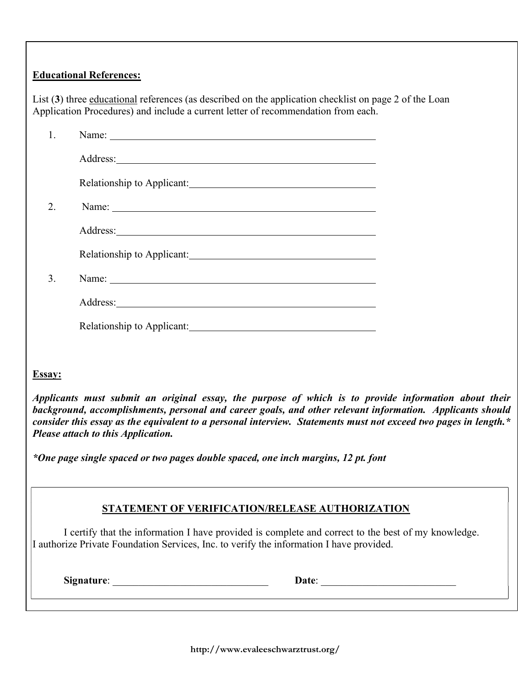## Educational References:

List (3) three educational references (as described on the application checklist on page 2 of the Loan Application Procedures) and include a current letter of recommendation from each.

| $\mathfrak{D}$ | Name:                                                                                                                                                                                                                               |  |
|----------------|-------------------------------------------------------------------------------------------------------------------------------------------------------------------------------------------------------------------------------------|--|
|                |                                                                                                                                                                                                                                     |  |
|                |                                                                                                                                                                                                                                     |  |
| 3.             | Name: Name and the set of the set of the set of the set of the set of the set of the set of the set of the set of the set of the set of the set of the set of the set of the set of the set of the set of the set of the set o      |  |
|                | Address: <u>Address</u> and the contract of the contract of the contract of the contract of the contract of the contract of the contract of the contract of the contract of the contract of the contract of the contract of the con |  |
|                |                                                                                                                                                                                                                                     |  |

### Essay:

Applicants must submit an original essay, the purpose of which is to provide information about their background, accomplishments, personal and career goals, and other relevant information. Applicants should consider this essay as the equivalent to a personal interview. Statements must not exceed two pages in length.\* Please attach to this Application.

\*One page single spaced or two pages double spaced, one inch margins, 12 pt. font

## STATEMENT OF VERIFICATION/RELEASE AUTHORIZATION

I certify that the information I have provided is complete and correct to the best of my knowledge. I authorize Private Foundation Services, Inc. to verify the information I have provided.

Signature: \_\_\_\_\_\_\_\_\_\_\_\_\_\_\_\_\_\_\_\_\_\_\_\_\_\_\_\_\_\_ Date: \_\_\_\_\_\_\_\_\_\_\_\_\_\_\_\_\_\_\_\_\_\_\_\_\_\_